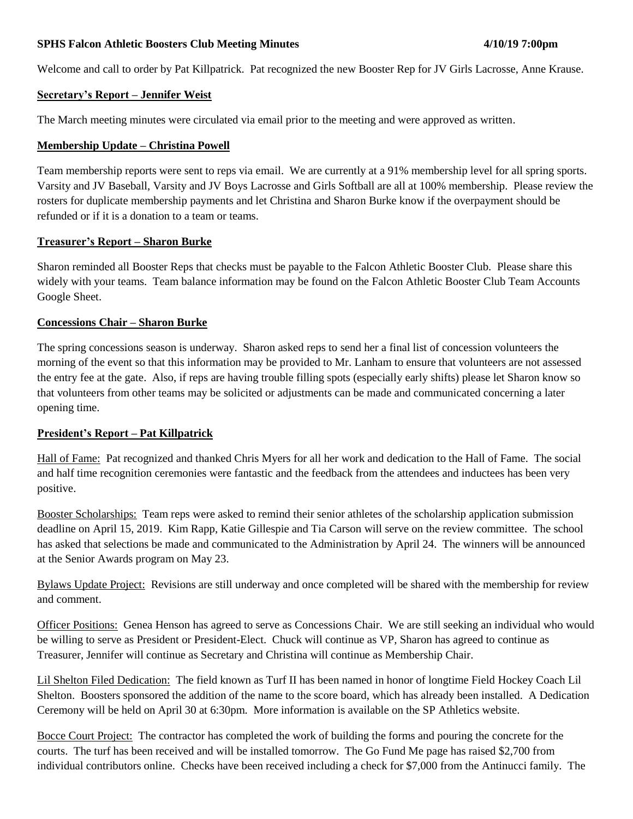### **SPHS Falcon Athletic Boosters Club Meeting Minutes 4/10/19 7:00pm**

Welcome and call to order by Pat Killpatrick. Pat recognized the new Booster Rep for JV Girls Lacrosse, Anne Krause.

### **Secretary's Report – Jennifer Weist**

The March meeting minutes were circulated via email prior to the meeting and were approved as written.

### **Membership Update – Christina Powell**

Team membership reports were sent to reps via email. We are currently at a 91% membership level for all spring sports. Varsity and JV Baseball, Varsity and JV Boys Lacrosse and Girls Softball are all at 100% membership. Please review the rosters for duplicate membership payments and let Christina and Sharon Burke know if the overpayment should be refunded or if it is a donation to a team or teams.

### **Treasurer's Report – Sharon Burke**

Sharon reminded all Booster Reps that checks must be payable to the Falcon Athletic Booster Club. Please share this widely with your teams. Team balance information may be found on the Falcon Athletic Booster Club Team Accounts Google Sheet.

### **Concessions Chair – Sharon Burke**

The spring concessions season is underway. Sharon asked reps to send her a final list of concession volunteers the morning of the event so that this information may be provided to Mr. Lanham to ensure that volunteers are not assessed the entry fee at the gate. Also, if reps are having trouble filling spots (especially early shifts) please let Sharon know so that volunteers from other teams may be solicited or adjustments can be made and communicated concerning a later opening time.

### **President's Report – Pat Killpatrick**

Hall of Fame: Pat recognized and thanked Chris Myers for all her work and dedication to the Hall of Fame. The social and half time recognition ceremonies were fantastic and the feedback from the attendees and inductees has been very positive.

Booster Scholarships: Team reps were asked to remind their senior athletes of the scholarship application submission deadline on April 15, 2019. Kim Rapp, Katie Gillespie and Tia Carson will serve on the review committee. The school has asked that selections be made and communicated to the Administration by April 24. The winners will be announced at the Senior Awards program on May 23.

Bylaws Update Project: Revisions are still underway and once completed will be shared with the membership for review and comment.

Officer Positions: Genea Henson has agreed to serve as Concessions Chair. We are still seeking an individual who would be willing to serve as President or President-Elect. Chuck will continue as VP, Sharon has agreed to continue as Treasurer, Jennifer will continue as Secretary and Christina will continue as Membership Chair.

Lil Shelton Filed Dedication: The field known as Turf II has been named in honor of longtime Field Hockey Coach Lil Shelton. Boosters sponsored the addition of the name to the score board, which has already been installed. A Dedication Ceremony will be held on April 30 at 6:30pm. More information is available on the SP Athletics website.

Bocce Court Project: The contractor has completed the work of building the forms and pouring the concrete for the courts. The turf has been received and will be installed tomorrow. The Go Fund Me page has raised \$2,700 from individual contributors online. Checks have been received including a check for \$7,000 from the Antinucci family. The